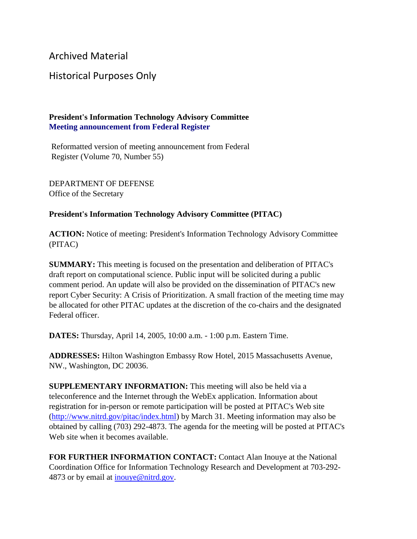Archived Material

## Historical Purposes Only

## **President's Information Technology Advisory Committee Meeting announcement from Federal Register**

Reformatted version of meeting announcement from Federal Register (Volume 70, Number 55)

DEPARTMENT OF DEFENSE Office of the Secretary

## **President's Information Technology Advisory Committee (PITAC)**

**ACTION:** Notice of meeting: President's Information Technology Advisory Committee (PITAC)

**SUMMARY:** This meeting is focused on the presentation and deliberation of PITAC's draft report on computational science. Public input will be solicited during a public comment period. An update will also be provided on the dissemination of PITAC's new report Cyber Security: A Crisis of Prioritization. A small fraction of the meeting time may be allocated for other PITAC updates at the discretion of the co-chairs and the designated Federal officer.

**DATES:** Thursday, April 14, 2005, 10:00 a.m. - 1:00 p.m. Eastern Time.

**ADDRESSES:** Hilton Washington Embassy Row Hotel, 2015 Massachusetts Avenue, NW., Washington, DC 20036.

**SUPPLEMENTARY INFORMATION:** This meeting will also be held via a teleconference and the Internet through the WebEx application. Information about registration for in-person or remote participation will be posted at PITAC's Web site [\(http://www.nitrd.gov/pitac/index.html\)](https://www.nitrd.gov/pitac/index.html) by March 31. Meeting information may also be obtained by calling (703) 292-4873. The agenda for the meeting will be posted at PITAC's Web site when it becomes available.

**FOR FURTHER INFORMATION CONTACT:** Contact Alan Inouye at the National Coordination Office for Information Technology Research and Development at 703-292- 4873 or by email at [inouye@nitrd.gov.](mailto:inouye@nitrd.gov)